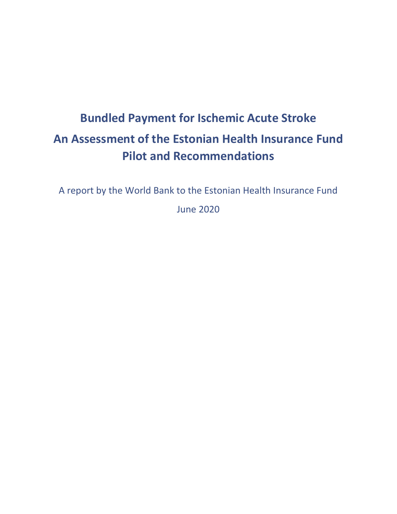# **Bundled Payment for Ischemic Acute Stroke An Assessment of the Estonian Health Insurance Fund Pilot and Recommendations**

A report by the World Bank to the Estonian Health Insurance Fund

June 2020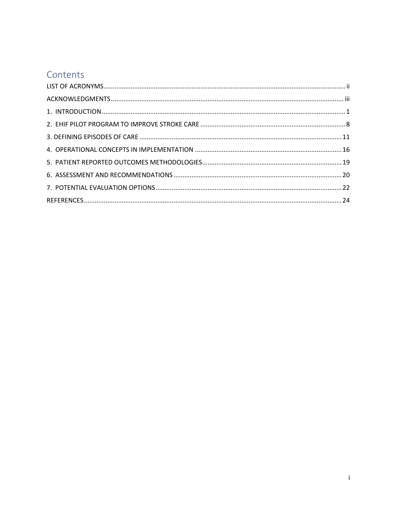# Contents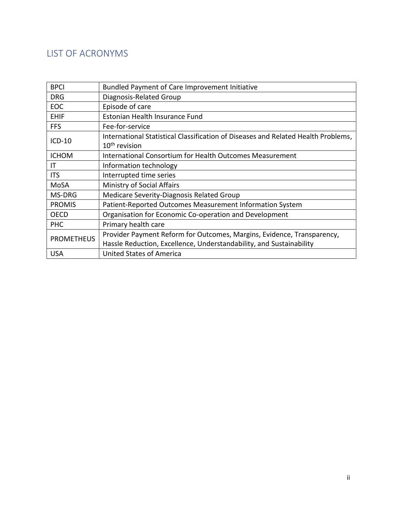# <span id="page-2-0"></span>LIST OF ACRONYMS

| <b>BPCI</b>       | Bundled Payment of Care Improvement Initiative                                    |  |  |
|-------------------|-----------------------------------------------------------------------------------|--|--|
| <b>DRG</b>        | Diagnosis-Related Group                                                           |  |  |
| EOC               | Episode of care                                                                   |  |  |
| <b>EHIF</b>       | <b>Estonian Health Insurance Fund</b>                                             |  |  |
| <b>FFS</b>        | Fee-for-service                                                                   |  |  |
| $ICD-10$          | International Statistical Classification of Diseases and Related Health Problems, |  |  |
|                   | $10th$ revision                                                                   |  |  |
| <b>ICHOM</b>      | International Consortium for Health Outcomes Measurement                          |  |  |
| ΙT                | Information technology                                                            |  |  |
| <b>ITS</b>        | Interrupted time series                                                           |  |  |
| MoSA              | <b>Ministry of Social Affairs</b>                                                 |  |  |
| MS-DRG            | Medicare Severity-Diagnosis Related Group                                         |  |  |
| <b>PROMIS</b>     | Patient-Reported Outcomes Measurement Information System                          |  |  |
| <b>OECD</b>       | Organisation for Economic Co-operation and Development                            |  |  |
| <b>PHC</b>        | Primary health care                                                               |  |  |
|                   | Provider Payment Reform for Outcomes, Margins, Evidence, Transparency,            |  |  |
| <b>PROMETHEUS</b> | Hassle Reduction, Excellence, Understandability, and Sustainability               |  |  |
| <b>USA</b>        | <b>United States of America</b>                                                   |  |  |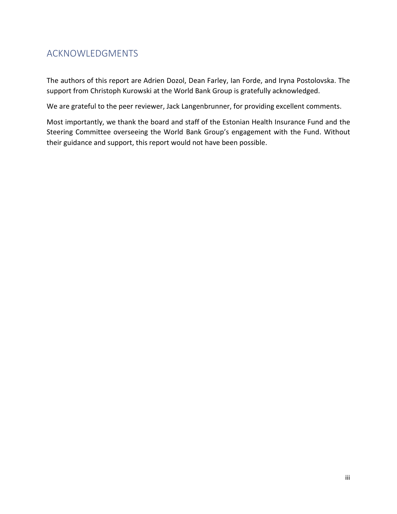# <span id="page-3-0"></span>ACKNOWLEDGMENTS

The authors of this report are Adrien Dozol, Dean Farley, Ian Forde, and Iryna Postolovska. The support from Christoph Kurowski at the World Bank Group is gratefully acknowledged.

We are grateful to the peer reviewer, Jack Langenbrunner, for providing excellent comments.

Most importantly, we thank the board and staff of the Estonian Health Insurance Fund and the Steering Committee overseeing the World Bank Group's engagement with the Fund. Without their guidance and support, this report would not have been possible.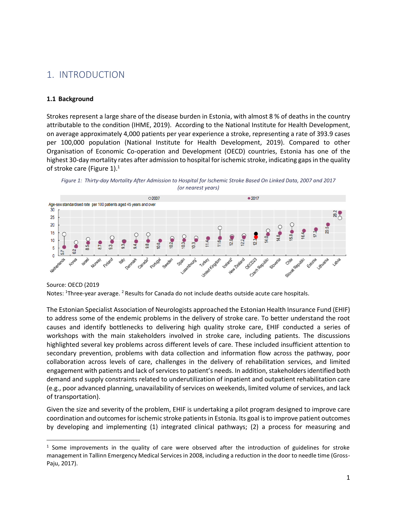# <span id="page-4-0"></span>1. INTRODUCTION

### **1.1 Background**

Strokes represent a large share of the disease burden in Estonia, with almost 8 % of deaths in the country attributable to the condition (IHME, 2019). According to the National Institute for Health Development, on average approximately 4,000 patients per year experience a stroke, representing a rate of 393.9 cases per 100,000 population (National Institute for Health Development, 2019). Compared to other Organisation of Economic Co-operation and Development (OECD) countries, Estonia has one of the highest 30-day mortality rates after admission to hospital for ischemic stroke, indicating gaps in the quality of stroke care [\(Figure 1\)](#page-4-1).<sup>1</sup>

<span id="page-4-1"></span>



Source: OECD (2019

Notes: <sup>1</sup>Three-year average. <sup>2</sup> Results for Canada do not include deaths outside acute care hospitals.

The Estonian Specialist Association of Neurologists approached the Estonian Health Insurance Fund (EHIF) to address some of the endemic problems in the delivery of stroke care. To better understand the root causes and identify bottlenecks to delivering high quality stroke care, EHIF conducted a series of workshops with the main stakeholders involved in stroke care, including patients. The discussions highlighted several key problems across different levels of care. These included insufficient attention to secondary prevention, problems with data collection and information flow across the pathway, poor collaboration across levels of care, challenges in the delivery of rehabilitation services, and limited engagement with patients and lack of services to patient's needs. In addition, stakeholders identified both demand and supply constraints related to underutilization of inpatient and outpatient rehabilitation care (e.g., poor advanced planning, unavailability of services on weekends, limited volume of services, and lack of transportation).

Given the size and severity of the problem, EHIF is undertaking a pilot program designed to improve care coordination and outcomes for ischemic stroke patientsin Estonia. Its goal is to improve patient outcomes by developing and implementing (1) integrated clinical pathways; (2) a process for measuring and

<sup>&</sup>lt;sup>1</sup> Some improvements in the quality of care were observed after the introduction of guidelines for stroke management in Tallinn Emergency Medical Services in 2008, including a reduction in the door to needle time (Gross-Paju, 2017).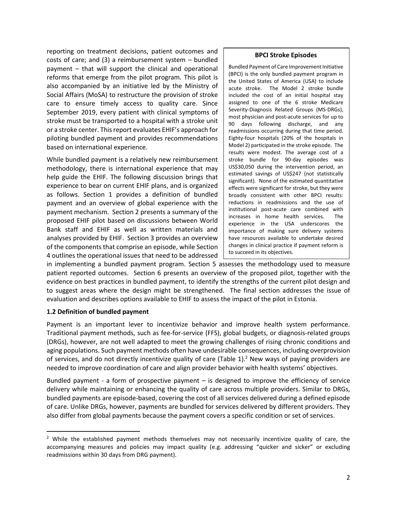reporting on treatment decisions, patient outcomes and costs of care; and (3) a reimbursement system – bundled payment – that will support the clinical and operational reforms that emerge from the pilot program. This pilot is also accompanied by an initiative led by the Ministry of Social Affairs (MoSA) to restructure the provision of stroke care to ensure timely access to quality care. Since September 2019, every patient with clinical symptoms of stroke must be transported to a hospital with a stroke unit or a stroke center. This report evaluates EHIF's approach for piloting bundled payment and provides recommendations based on international experience.

While bundled payment is a relatively new reimbursement methodology, there is international experience that may help guide the EHIF. The following discussion brings that experience to bear on current EHIF plans, and is organized as follows. Section 1 provides a definition of bundled payment and an overview of global experience with the payment mechanism. Section 2 presents a summary of the proposed EHIF pilot based on discussions between World Bank staff and EHIF as well as written materials and analyses provided by EHIF. Section 3 provides an overview of the components that comprise an episode, while Section 4 outlines the operational issues that need to be addressed

#### **BPCI Stroke Episodes**

Bundled Payment of Care Improvement Initiative (BPCI) is the only bundled payment program in the United States of America (USA) to include acute stroke. The Model 2 stroke bundle included the cost of an initial hospital stay assigned to one of the 6 stroke Medicare Severity-Diagnosis Related Groups (MS-DRGs), most physician and post-acute services for up to 90 days following discharge, and any readmissions occurring during that time period. Eighty-four hospitals (20% of the hospitals in Model 2) participated in the stroke episode. The results were modest. The average cost of a stroke bundle for 90-day episodes was US\$30,050 during the intervention period, an estimated savings of US\$247 (not statistically significant). None of the estimated quantitative effects were significant for stroke, but they were broadly consistent with other BPCI results: reductions in readmissions and the use of institutional post-acute care combined with increases in home health services. The experience in the USA underscores the importance of making sure delivery systems have resources available to undertake desired changes in clinical practice if payment reform is to succeed in its objectives.

in implementing a bundled payment program. Section 5 assesses the methodology used to measure patient reported outcomes. Section 6 presents an overview of the proposed pilot, together with the evidence on best practices in bundled payment, to identify the strengths of the current pilot design and to suggest areas where the design might be strengthened. The final section addresses the issue of evaluation and describes options available to EHIF to assess the impact of the pilot in Estonia.

### **1.2 Definition of bundled payment**

Payment is an important lever to incentivize behavior and improve health system performance. Traditional payment methods, such as fee-for-service (FFS), global budgets, or diagnosis-related groups (DRGs), however, are not well adapted to meet the growing challenges of rising chronic conditions and aging populations. Such payment methods often have undesirable consequences, including overprovision of services, and do not directly incentivize quality of care [\(Table 1\)](#page-7-0).<sup>2</sup> New ways of paying providers are needed to improve coordination of care and align provider behavior with health systems' objectives.

Bundled payment - a form of prospective payment – is designed to improve the efficiency of service delivery while maintaining or enhancing the quality of care across multiple providers. Similar to DRGs, bundled payments are episode-based, covering the cost of all services delivered during a defined episode of care. Unlike DRGs, however, payments are bundled for services delivered by different providers. They also differ from global payments because the payment covers a specific condition or set of services.

<sup>&</sup>lt;sup>2</sup> While the established payment methods themselves may not necessarily incentivize quality of care, the accompanying measures and policies may impact quality (e.g. addressing "quicker and sicker" or excluding readmissions within 30 days from DRG payment).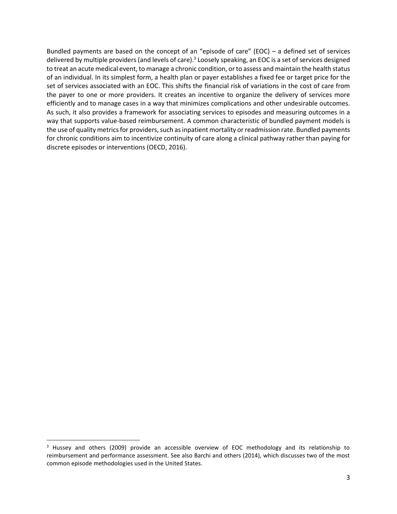Bundled payments are based on the concept of an "episode of care" (EOC) – a defined set of services delivered by multiple providers (and levels of care).<sup>3</sup> Loosely speaking, an EOC is a set of services designed to treat an acute medical event, to manage a chronic condition, or to assess and maintain the health status of an individual. In its simplest form, a health plan or payer establishes a fixed fee or target price for the set of services associated with an EOC. This shifts the financial risk of variations in the cost of care from the payer to one or more providers. It creates an incentive to organize the delivery of services more efficiently and to manage cases in a way that minimizes complications and other undesirable outcomes. As such, it also provides a framework for associating services to episodes and measuring outcomes in a way that supports value-based reimbursement. A common characteristic of bundled payment models is the use of quality metrics for providers, such as inpatient mortality or readmission rate. Bundled payments for chronic conditions aim to incentivize continuity of care along a clinical pathway rather than paying for discrete episodes or interventions (OECD, 2016).

<sup>&</sup>lt;sup>3</sup> Hussey and others (2009) provide an accessible overview of EOC methodology and its relationship to reimbursement and performance assessment. See also Barchi and others (2014), which discusses two of the most common episode methodologies used in the United States.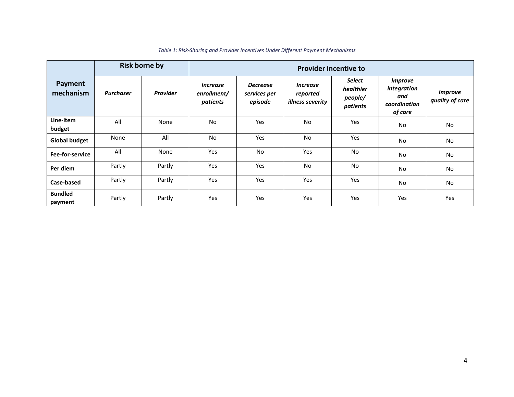<span id="page-7-0"></span>

|                           | <b>Risk borne by</b> |                 | <b>Provider incentive to</b>                      |                                            |                                                               |                                                   |                                                                        |                                   |
|---------------------------|----------------------|-----------------|---------------------------------------------------|--------------------------------------------|---------------------------------------------------------------|---------------------------------------------------|------------------------------------------------------------------------|-----------------------------------|
| Payment<br>mechanism      | <b>Purchaser</b>     | <b>Provider</b> | <i><b>Increase</b></i><br>enrollment/<br>patients | <b>Decrease</b><br>services per<br>episode | <i><b>Increase</b></i><br>reported<br><i>illness severity</i> | <b>Select</b><br>healthier<br>people/<br>patients | <i><b>Improve</b></i><br>integration<br>and<br>coordination<br>of care | <b>Improve</b><br>quality of care |
| Line-item<br>budget       | All                  | None            | <b>No</b>                                         | Yes                                        | No                                                            | Yes                                               | No                                                                     | <b>No</b>                         |
| <b>Global budget</b>      | None                 | All             | <b>No</b>                                         | <b>Yes</b>                                 | No                                                            | Yes                                               | No                                                                     | No                                |
| Fee-for-service           | All                  | None            | Yes                                               | <b>No</b>                                  | Yes                                                           | <b>No</b>                                         | No                                                                     | No                                |
| Per diem                  | Partly               | Partly          | Yes                                               | <b>Yes</b>                                 | <b>No</b>                                                     | No                                                | No                                                                     | <b>No</b>                         |
| Case-based                | Partly               | Partly          | Yes                                               | Yes                                        | Yes                                                           | Yes                                               | No                                                                     | No                                |
| <b>Bundled</b><br>payment | Partly               | Partly          | Yes                                               | Yes                                        | Yes                                                           | Yes                                               | Yes                                                                    | Yes                               |

#### *Table 1: Risk-Sharing and Provider Incentives Under Different Payment Mechanisms*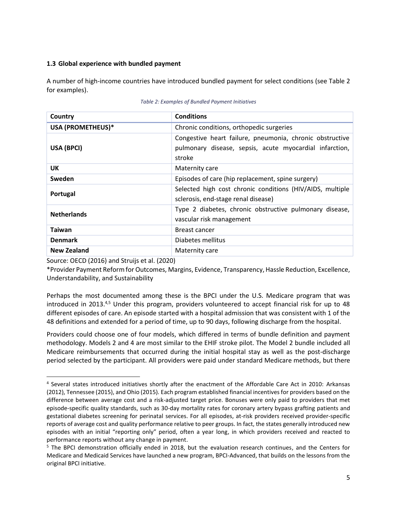### **1.3 Global experience with bundled payment**

A number of high-income countries have introduced bundled payment for select conditions (see [Table 2](#page-8-0) for examples).

<span id="page-8-0"></span>

| Country                                                                                                      | <b>Conditions</b>                                                                                                             |  |  |
|--------------------------------------------------------------------------------------------------------------|-------------------------------------------------------------------------------------------------------------------------------|--|--|
| USA (PROMETHEUS)*                                                                                            | Chronic conditions, orthopedic surgeries                                                                                      |  |  |
| USA (BPCI)                                                                                                   | Congestive heart failure, pneumonia, chronic obstructive<br>pulmonary disease, sepsis, acute myocardial infarction,<br>stroke |  |  |
| UK                                                                                                           | Maternity care                                                                                                                |  |  |
| Sweden                                                                                                       | Episodes of care (hip replacement, spine surgery)                                                                             |  |  |
| Selected high cost chronic conditions (HIV/AIDS, multiple<br>Portugal<br>sclerosis, end-stage renal disease) |                                                                                                                               |  |  |
| <b>Netherlands</b>                                                                                           | Type 2 diabetes, chronic obstructive pulmonary disease,<br>vascular risk management                                           |  |  |
| <b>Taiwan</b>                                                                                                | Breast cancer                                                                                                                 |  |  |
| <b>Denmark</b>                                                                                               | Diabetes mellitus                                                                                                             |  |  |
| <b>New Zealand</b>                                                                                           | Maternity care                                                                                                                |  |  |

|  |  | Table 2: Examples of Bundled Payment Initiatives |
|--|--|--------------------------------------------------|
|--|--|--------------------------------------------------|

Source: OECD (2016) and Struijs et al. (2020)

\*Provider Payment Reform for Outcomes, Margins, Evidence, Transparency, Hassle Reduction, Excellence, Understandability, and Sustainability

Perhaps the most documented among these is the BPCI under the U.S. Medicare program that was introduced in 2013. $45$  Under this program, providers volunteered to accept financial risk for up to 48 different episodes of care. An episode started with a hospital admission that was consistent with 1 of the 48 definitions and extended for a period of time, up to 90 days, following discharge from the hospital.

Providers could choose one of four models, which differed in terms of bundle definition and payment methodology. Models 2 and 4 are most similar to the EHIF stroke pilot. The Model 2 bundle included all Medicare reimbursements that occurred during the initial hospital stay as well as the post-discharge period selected by the participant. All providers were paid under standard Medicare methods, but there

<sup>4</sup> Several states introduced initiatives shortly after the enactment of the Affordable Care Act in 2010: Arkansas (2012), Tennessee (2015), and Ohio (2015). Each program established financial incentives for providers based on the difference between average cost and a risk-adjusted target price. Bonuses were only paid to providers that met episode-specific quality standards, such as 30-day mortality rates for coronary artery bypass grafting patients and gestational diabetes screening for perinatal services. For all episodes, at-risk providers received provider-specific reports of average cost and quality performance relative to peer groups. In fact, the states generally introduced new episodes with an initial "reporting only" period, often a year long, in which providers received and reacted to performance reports without any change in payment.

<sup>5</sup> The BPCI demonstration officially ended in 2018, but the evaluation research continues, and the Centers for Medicare and Medicaid Services have launched a new program, BPCI-Advanced, that builds on the lessons from the original BPCI initiative.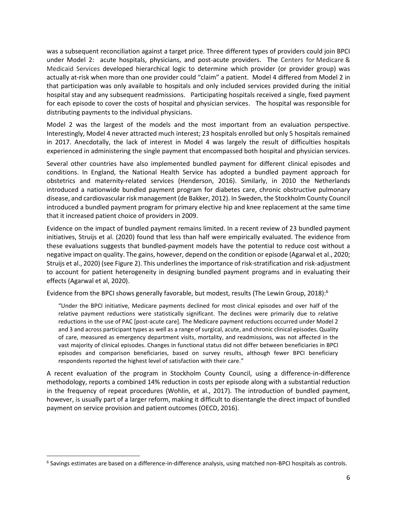was a subsequent reconciliation against a target price. Three different types of providers could join BPCI under Model 2: acute hospitals, physicians, and post-acute providers. The Centers for Medicare & Medicaid Services developed hierarchical logic to determine which provider (or provider group) was actually at-risk when more than one provider could "claim" a patient. Model 4 differed from Model 2 in that participation was only available to hospitals and only included services provided during the initial hospital stay and any subsequent readmissions. Participating hospitals received a single, fixed payment for each episode to cover the costs of hospital and physician services. The hospital was responsible for distributing payments to the individual physicians.

Model 2 was the largest of the models and the most important from an evaluation perspective. Interestingly, Model 4 never attracted much interest; 23 hospitals enrolled but only 5 hospitals remained in 2017. Anecdotally, the lack of interest in Model 4 was largely the result of difficulties hospitals experienced in administering the single payment that encompassed both hospital and physician services.

Several other countries have also implemented bundled payment for different clinical episodes and conditions. In England, the National Health Service has adopted a bundled payment approach for obstetrics and maternity-related services (Henderson, 2016). Similarly, in 2010 the Netherlands introduced a nationwide bundled payment program for diabetes care, chronic obstructive pulmonary disease, and cardiovascular risk management (de Bakker, 2012). In Sweden, the Stockholm County Council introduced a bundled payment program for primary elective hip and knee replacement at the same time that it increased patient choice of providers in 2009.

Evidence on the impact of bundled payment remains limited. In a recent review of 23 bundled payment initiatives, Struijs et al. (2020) found that less than half were empirically evaluated. The evidence from these evaluations suggests that bundled-payment models have the potential to reduce cost without a negative impact on quality. The gains, however, depend on the condition or episode (Agarwal et al., 2020; Struijs et al., 2020) (se[e Figure 2\)](#page-10-0). This underlines the importance of risk-stratification and risk-adjustment to account for patient heterogeneity in designing bundled payment programs and in evaluating their effects (Agarwal et al, 2020).

Evidence from the BPCI shows generally favorable, but modest, results (The Lewin Group, 2018):<sup>6</sup>

"Under the BPCI initiative, Medicare payments declined for most clinical episodes and over half of the relative payment reductions were statistically significant. The declines were primarily due to relative reductions in the use of PAC [post-acute care]. The Medicare payment reductions occurred under Model 2 and 3 and across participant types as well as a range of surgical, acute, and chronic clinical episodes. Quality of care, measured as emergency department visits, mortality, and readmissions, was not affected in the vast majority of clinical episodes. Changes in functional status did not differ between beneficiaries in BPCI episodes and comparison beneficiaries, based on survey results, although fewer BPCI beneficiary respondents reported the highest level of satisfaction with their care."

A recent evaluation of the program in Stockholm County Council, using a difference-in-difference methodology, reports a combined 14% reduction in costs per episode along with a substantial reduction in the frequency of repeat procedures (Wohlin, et al., 2017). The introduction of bundled payment, however, is usually part of a larger reform, making it difficult to disentangle the direct impact of bundled payment on service provision and patient outcomes (OECD, 2016).

<sup>6</sup> Savings estimates are based on a difference-in-difference analysis, using matched non-BPCI hospitals as controls.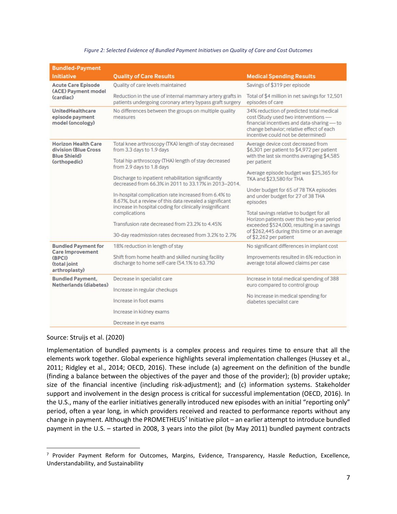<span id="page-10-0"></span>

| <b>Bundled-Payment</b>                                        |                                                                                                                                                                             |                                                                                                                                                                                                                |  |
|---------------------------------------------------------------|-----------------------------------------------------------------------------------------------------------------------------------------------------------------------------|----------------------------------------------------------------------------------------------------------------------------------------------------------------------------------------------------------------|--|
| <b>Initiative</b>                                             | <b>Quality of Care Results</b>                                                                                                                                              | <b>Medical Spending Results</b>                                                                                                                                                                                |  |
| <b>Acute Care Episode</b><br>(ACE) Payment model<br>(cardiac) | Quality of care levels maintained                                                                                                                                           | Savings of \$319 per episode                                                                                                                                                                                   |  |
|                                                               | Reduction in the use of internal mammary artery grafts in<br>patients undergoing coronary artery bypass graft surgery                                                       | Total of \$4 million in net savings for 12,501<br>episodes of care                                                                                                                                             |  |
| UnitedHealthcare<br>episode payment<br>model (oncology)       | No differences between the groups on multiple quality<br>measures                                                                                                           | 34% reduction of predicted total medical<br>cost (Study used two interventions -<br>financial incentives and data-sharing-to<br>change behavior; relative effect of each<br>incentive could not be determined) |  |
| <b>Horizon Health Care</b><br>division (Blue Cross)           | Total knee arthroscopy (TKA) length of stay decreased<br>from 3.3 days to 1.9 days                                                                                          | Average device cost decreased from<br>\$6,301 per patient to \$4,972 per patient<br>with the last six months averaging \$4,585                                                                                 |  |
| <b>Blue Shield</b> )<br>(orthopedic)                          | Total hip arthroscopy (THA) length of stay decreased<br>from 2.9 days to 1.8 days                                                                                           | per patient                                                                                                                                                                                                    |  |
|                                                               | Discharge to inpatient rehabilitation significantly<br>decreased from 66.3% in 2011 to 33.17% in 2013-2014.                                                                 | Average episode budget was \$25,365 for<br>TKA and \$23,580 for THA                                                                                                                                            |  |
|                                                               | In-hospital complication rate increased from 6.4% to<br>8.67%, but a review of this data revealed a significant<br>increase in hospital coding for clinically insignificant | Under budget for 65 of 78 TKA episodes<br>and under budget for 27 of 38 THA<br>episodes                                                                                                                        |  |
|                                                               | complications                                                                                                                                                               | Total savings relative to budget for all<br>Horizon patients over this two-year period                                                                                                                         |  |
|                                                               | Transfusion rate decreased from 23.2% to 4.45%                                                                                                                              | exceeded \$524,000, resulting in a savings                                                                                                                                                                     |  |
|                                                               | 30-day readmission rates decreased from 3.2% to 2.7%                                                                                                                        | of \$262,445 during this time or an average<br>of \$2,262 per patient                                                                                                                                          |  |
| <b>Bundled Payment for</b><br><b>Care Improvement</b>         | 18% reduction in length of stay                                                                                                                                             | No significant differences in implant cost                                                                                                                                                                     |  |
| (BPCI)                                                        | Shift from home health and skilled nursing facility                                                                                                                         | Improvements resulted in 6% reduction in                                                                                                                                                                       |  |
| (total joint<br>arthroplasty)                                 | discharge to home self-care (54.1% to 63.7%)                                                                                                                                | average total allowed claims per case                                                                                                                                                                          |  |
| <b>Bundled Payment,</b>                                       | Decrease in specialist care                                                                                                                                                 | Increase in total medical spending of 388                                                                                                                                                                      |  |
| Netherlands (diabetes)                                        | Increase in regular checkups                                                                                                                                                | euro compared to control group                                                                                                                                                                                 |  |
|                                                               | Increase in foot exams                                                                                                                                                      | No increase in medical spending for<br>diabetes specialist care                                                                                                                                                |  |
|                                                               | Increase in kidney exams                                                                                                                                                    |                                                                                                                                                                                                                |  |
|                                                               | Decrease in eye exams                                                                                                                                                       |                                                                                                                                                                                                                |  |

#### *Figure 2: Selected Evidence of Bundled Payment Initiatives on Quality of Care and Cost Outcomes*

#### Source: Struijs et al. (2020)

Implementation of bundled payments is a complex process and requires time to ensure that all the elements work together. Global experience highlights several implementation challenges (Hussey et al., 2011; Ridgley et al., 2014; OECD, 2016). These include (a) agreement on the definition of the bundle (finding a balance between the objectives of the payer and those of the provider); (b) provider uptake; size of the financial incentive (including risk-adjustment); and (c) information systems. Stakeholder support and involvement in the design process is critical for successful implementation (OECD, 2016). In the U.S., many of the earlier initiatives generally introduced new episodes with an initial "reporting only" period, often a year long, in which providers received and reacted to performance reports without any change in payment. Although the PROMETHEUS<sup>7</sup> Initiative pilot - an earlier attempt to introduce bundled payment in the U.S. – started in 2008, 3 years into the pilot (by May 2011) bundled payment contracts

<sup>&</sup>lt;sup>7</sup> Provider Payment Reform for Outcomes, Margins, Evidence, Transparency, Hassle Reduction, Excellence, Understandability, and Sustainability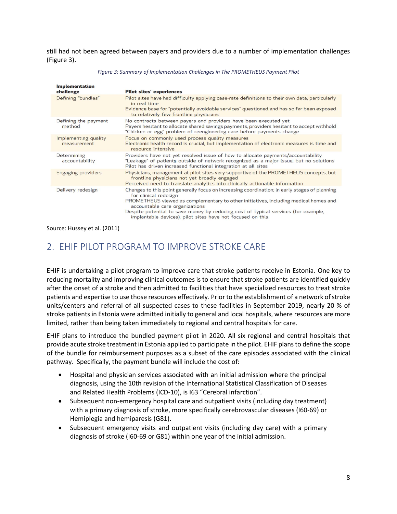still had not been agreed between payers and providers due to a number of implementation challenges [\(Figure 3\)](#page-11-1).

<span id="page-11-1"></span>

| <b>Implementation</b><br>challenge  | <b>Pilot sites' experiences</b>                                                                                                                                                                                                                                                                                                                                                                      |
|-------------------------------------|------------------------------------------------------------------------------------------------------------------------------------------------------------------------------------------------------------------------------------------------------------------------------------------------------------------------------------------------------------------------------------------------------|
| Defining "bundles"                  | Pilot sites have had difficulty applying case-rate definitions to their own data, particularly<br>in real time<br>Evidence base for "potentially avoidable services" questioned and has so far been exposed                                                                                                                                                                                          |
|                                     | to relatively few frontline physicians                                                                                                                                                                                                                                                                                                                                                               |
| Defining the payment<br>method      | No contracts between payers and providers have been executed yet<br>Payers hesitant to allocate shared savings payments, providers hesitant to accept withhold<br>"Chicken or egg" problem of reengineering care before payments change                                                                                                                                                              |
| Implementing quality<br>measurement | Focus on commonly used process quality measures<br>Electronic health record is crucial, but implementation of electronic measures is time and<br>resource intensive                                                                                                                                                                                                                                  |
| Determining<br>accountability       | Providers have not yet resolved issue of how to allocate payments/accountability<br>"Leakage" of patients outside of network recognized as a major issue, but no solutions<br>Pilot has driven increased functional integration at all sites                                                                                                                                                         |
| <b>Engaging providers</b>           | Physicians, management at pilot sites very supportive of the PROMETHEUS concepts, but<br>frontline physicians not yet broadly engaged<br>Perceived need to translate analytics into clinically actionable information                                                                                                                                                                                |
| Delivery redesign                   | Changes to this point generally focus on increasing coordination; in early stages of planning<br>for clinical redesign<br>PROMETHEUS viewed as complementary to other initiatives, including medical homes and<br>accountable care organizations<br>Despite potential to save money by reducing cost of typical services (for example,<br>implantable devices), pilot sites have not focused on this |

#### *Figure 3: Summary of Implementation Challenges in The PROMETHEUS Payment Pilot*

Source: Hussey et al. (2011)

# <span id="page-11-0"></span>2. EHIF PILOT PROGRAM TO IMPROVE STROKE CARE

EHIF is undertaking a pilot program to improve care that stroke patients receive in Estonia. One key to reducing mortality and improving clinical outcomes is to ensure that stroke patients are identified quickly after the onset of a stroke and then admitted to facilities that have specialized resources to treat stroke patients and expertise to use those resources effectively. Prior to the establishment of a network of stroke units/centers and referral of all suspected cases to these facilities in September 2019, nearly 20 % of stroke patients in Estonia were admitted initially to general and local hospitals, where resources are more limited, rather than being taken immediately to regional and central hospitals for care.

EHIF plans to introduce the bundled payment pilot in 2020. All six regional and central hospitals that provide acute stroke treatment in Estonia applied to participate in the pilot. EHIF plans to define the scope of the bundle for reimbursement purposes as a subset of the care episodes associated with the clinical pathway. Specifically, the payment bundle will include the cost of:

- Hospital and physician services associated with an initial admission where the principal diagnosis, using the 10th revision of the International Statistical Classification of Diseases and Related Health Problems (ICD-10), is I63 "Cerebral infarction".
- Subsequent non-emergency hospital care and outpatient visits (including day treatment) with a primary diagnosis of stroke, more specifically cerebrovascular diseases (I60-69) or Hemiplegia and hemiparesis (G81).
- Subsequent emergency visits and outpatient visits (including day care) with a primary diagnosis of stroke (I60-69 or G81) within one year of the initial admission.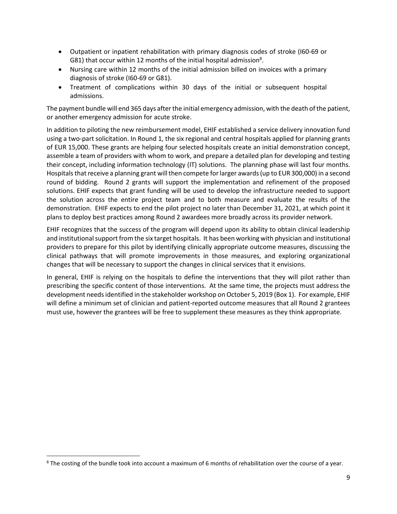- Outpatient or inpatient rehabilitation with primary diagnosis codes of stroke (I60-69 or G81) that occur within 12 months of the initial hospital admission<sup>8</sup>.
- Nursing care within 12 months of the initial admission billed on invoices with a primary diagnosis of stroke (I60-69 or G81).
- Treatment of complications within 30 days of the initial or subsequent hospital admissions.

The payment bundle will end 365 days after the initial emergency admission, with the death of the patient, or another emergency admission for acute stroke.

In addition to piloting the new reimbursement model, EHIF established a service delivery innovation fund using a two-part solicitation. In Round 1, the six regional and central hospitals applied for planning grants of EUR 15,000. These grants are helping four selected hospitals create an initial demonstration concept, assemble a team of providers with whom to work, and prepare a detailed plan for developing and testing their concept, including information technology (IT) solutions. The planning phase will last four months. Hospitals that receive a planning grant will then compete for larger awards(up to EUR 300,000) in a second round of bidding. Round 2 grants will support the implementation and refinement of the proposed solutions. EHIF expects that grant funding will be used to develop the infrastructure needed to support the solution across the entire project team and to both measure and evaluate the results of the demonstration. EHIF expects to end the pilot project no later than December 31, 2021, at which point it plans to deploy best practices among Round 2 awardees more broadly across its provider network.

EHIF recognizes that the success of the program will depend upon its ability to obtain clinical leadership and institutional support from the six target hospitals. It has been working with physician and institutional providers to prepare for this pilot by identifying clinically appropriate outcome measures, discussing the clinical pathways that will promote improvements in those measures, and exploring organizational changes that will be necessary to support the changes in clinical services that it envisions.

In general, EHIF is relying on the hospitals to define the interventions that they will pilot rather than prescribing the specific content of those interventions. At the same time, the projects must address the development needs identified in the stakeholder workshop on October 5, 2019 (Box 1). For example, EHIF will define a minimum set of clinician and patient-reported outcome measures that all Round 2 grantees must use, however the grantees will be free to supplement these measures as they think appropriate.

<sup>&</sup>lt;sup>8</sup> The costing of the bundle took into account a maximum of 6 months of rehabilitation over the course of a year.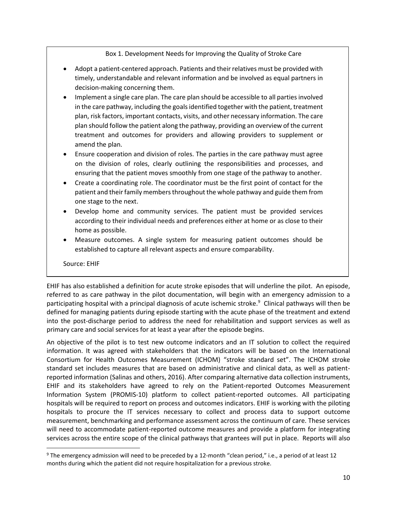Box 1. Development Needs for Improving the Quality of Stroke Care

- Adopt a patient-centered approach. Patients and their relatives must be provided with timely, understandable and relevant information and be involved as equal partners in decision-making concerning them.
- Implement a single care plan. The care plan should be accessible to all parties involved in the care pathway, including the goals identified together with the patient, treatment plan, risk factors, important contacts, visits, and other necessary information. The care plan should follow the patient along the pathway, providing an overview of the current treatment and outcomes for providers and allowing providers to supplement or amend the plan.
- Ensure cooperation and division of roles. The parties in the care pathway must agree on the division of roles, clearly outlining the responsibilities and processes, and ensuring that the patient moves smoothly from one stage of the pathway to another.
- Create a coordinating role. The coordinator must be the first point of contact for the patient and their family members throughout the whole pathway and guide them from one stage to the next.
- Develop home and community services. The patient must be provided services according to their individual needs and preferences either at home or as close to their home as possible.
- Measure outcomes. A single system for measuring patient outcomes should be established to capture all relevant aspects and ensure comparability.

Source: EHIF

EHIF has also established a definition for acute stroke episodes that will underline the pilot. An episode, referred to as care pathway in the pilot documentation, will begin with an emergency admission to a participating hospital with a principal diagnosis of acute ischemic stroke.<sup>9</sup> Clinical pathways will then be defined for managing patients during episode starting with the acute phase of the treatment and extend into the post-discharge period to address the need for rehabilitation and support services as well as primary care and social services for at least a year after the episode begins.

An objective of the pilot is to test new outcome indicators and an IT solution to collect the required information. It was agreed with stakeholders that the indicators will be based on the International Consortium for Health Outcomes Measurement (ICHOM) "stroke standard set". The ICHOM stroke standard set includes measures that are based on administrative and clinical data, as well as patientreported information (Salinas and others, 2016). After comparing alternative data collection instruments, EHIF and its stakeholders have agreed to rely on the Patient-reported Outcomes Measurement Information System (PROMIS-10) platform to collect patient-reported outcomes. All participating hospitals will be required to report on process and outcomes indicators. EHIF is working with the piloting hospitals to procure the IT services necessary to collect and process data to support outcome measurement, benchmarking and performance assessment across the continuum of care. These services will need to accommodate patient-reported outcome measures and provide a platform for integrating services across the entire scope of the clinical pathways that grantees will put in place. Reports will also

 $9$  The emergency admission will need to be preceded by a 12-month "clean period," i.e., a period of at least 12 months during which the patient did not require hospitalization for a previous stroke.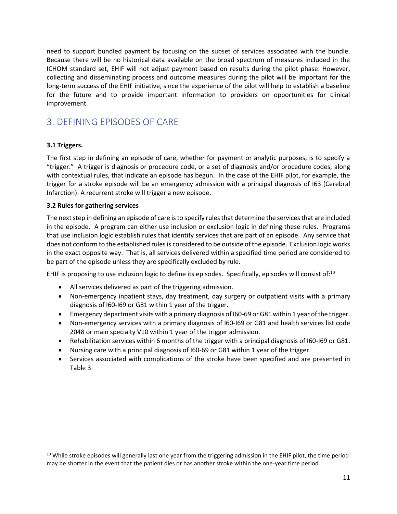need to support bundled payment by focusing on the subset of services associated with the bundle. Because there will be no historical data available on the broad spectrum of measures included in the ICHOM standard set, EHIF will not adjust payment based on results during the pilot phase. However, collecting and disseminating process and outcome measures during the pilot will be important for the long-term success of the EHIF initiative, since the experience of the pilot will help to establish a baseline for the future and to provide important information to providers on opportunities for clinical improvement.

# <span id="page-14-0"></span>3. DEFINING EPISODES OF CARE

# **3.1 Triggers.**

The first step in defining an episode of care, whether for payment or analytic purposes, is to specify a "trigger." A trigger is diagnosis or procedure code, or a set of diagnosis and/or procedure codes, along with contextual rules, that indicate an episode has begun. In the case of the EHIF pilot, for example, the trigger for a stroke episode will be an emergency admission with a principal diagnosis of I63 (Cerebral Infarction). A recurrent stroke will trigger a new episode.

### **3.2 Rules for gathering services**

The next step in defining an episode of care is to specify rules that determine the services that are included in the episode. A program can either use inclusion or exclusion logic in defining these rules. Programs that use inclusion logic establish rules that identify services that are part of an episode. Any service that does not conform to the established rules is considered to be outside of the episode. Exclusion logic works in the exact opposite way. That is, all services delivered within a specified time period are considered to be part of the episode unless they are specifically excluded by rule.

EHIF is proposing to use inclusion logic to define its episodes. Specifically, episodes will consist of: $10$ 

- All services delivered as part of the triggering admission.
- Non-emergency inpatient stays, day treatment, day surgery or outpatient visits with a primary diagnosis of I60-I69 or G81 within 1 year of the trigger.
- Emergency department visits with a primary diagnosis of I60-69 or G81 within 1 year of the trigger.
- Non-emergency services with a primary diagnosis of I60-I69 or G81 and health services list code 2048 or main specialty V10 within 1 year of the trigger admission.
- Rehabilitation services within 6 months of the trigger with a principal diagnosis of 160-169 or G81.
- Nursing care with a principal diagnosis of I60-69 or G81 within 1 year of the trigger.
- Services associated with complications of the stroke have been specified and are presented in [Table 3.](#page-15-0)

<sup>&</sup>lt;sup>10</sup> While stroke episodes will generally last one year from the triggering admission in the EHIF pilot, the time period may be shorter in the event that the patient dies or has another stroke within the one-year time period.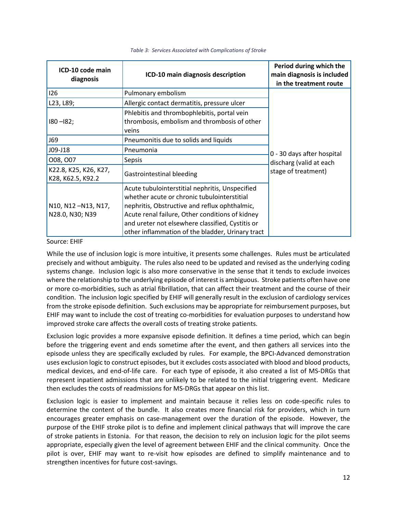<span id="page-15-0"></span>

| ICD-10 code main<br>diagnosis              | ICD-10 main diagnosis description                                                                                                                                                                                                                                                                          | Period during which the<br>main diagnosis is included<br>in the treatment route |
|--------------------------------------------|------------------------------------------------------------------------------------------------------------------------------------------------------------------------------------------------------------------------------------------------------------------------------------------------------------|---------------------------------------------------------------------------------|
| 126                                        | Pulmonary embolism                                                                                                                                                                                                                                                                                         |                                                                                 |
| L23, L89;                                  | Allergic contact dermatitis, pressure ulcer                                                                                                                                                                                                                                                                |                                                                                 |
| $180 - 182$ ;                              | Phlebitis and thrombophlebitis, portal vein<br>thrombosis, embolism and thrombosis of other<br>veins                                                                                                                                                                                                       |                                                                                 |
| J69                                        | Pneumonitis due to solids and liquids                                                                                                                                                                                                                                                                      |                                                                                 |
| J09-J18                                    | Pneumonia                                                                                                                                                                                                                                                                                                  | 0 - 30 days after hospital                                                      |
| 008, 007                                   | Sepsis                                                                                                                                                                                                                                                                                                     | discharg (valid at each                                                         |
| K22.8, K25, K26, K27,<br>K28, K62.5, K92.2 | Gastrointestinal bleeding                                                                                                                                                                                                                                                                                  | stage of treatment)                                                             |
| N10, N12-N13, N17,<br>N28.0, N30; N39      | Acute tubulointerstitial nephritis, Unspecified<br>whether acute or chronic tubulointerstitial<br>nephritis, Obstructive and reflux ophthalmic,<br>Acute renal failure, Other conditions of kidney<br>and ureter not elsewhere classified, Cystitis or<br>other inflammation of the bladder, Urinary tract |                                                                                 |

#### *Table 3: Services Associated with Complications of Stroke*

#### Source: EHIF

While the use of inclusion logic is more intuitive, it presents some challenges. Rules must be articulated precisely and without ambiguity. The rules also need to be updated and revised as the underlying coding systems change. Inclusion logic is also more conservative in the sense that it tends to exclude invoices where the relationship to the underlying episode of interest is ambiguous. Stroke patients often have one or more co-morbidities, such as atrial fibrillation, that can affect their treatment and the course of their condition. The inclusion logic specified by EHIF will generally result in the exclusion of cardiology services from the stroke episode definition. Such exclusions may be appropriate for reimbursement purposes, but EHIF may want to include the cost of treating co-morbidities for evaluation purposes to understand how improved stroke care affects the overall costs of treating stroke patients.

Exclusion logic provides a more expansive episode definition. It defines a time period, which can begin before the triggering event and ends sometime after the event, and then gathers all services into the episode unless they are specifically excluded by rules. For example, the BPCI-Advanced demonstration uses exclusion logic to construct episodes, but it excludes costs associated with blood and blood products, medical devices, and end-of-life care. For each type of episode, it also created a list of MS-DRGs that represent inpatient admissions that are unlikely to be related to the initial triggering event. Medicare then excludes the costs of readmissions for MS-DRGs that appear on this list.

Exclusion logic is easier to implement and maintain because it relies less on code-specific rules to determine the content of the bundle. It also creates more financial risk for providers, which in turn encourages greater emphasis on case-management over the duration of the episode. However, the purpose of the EHIF stroke pilot is to define and implement clinical pathways that will improve the care of stroke patients in Estonia. For that reason, the decision to rely on inclusion logic for the pilot seems appropriate, especially given the level of agreement between EHIF and the clinical community. Once the pilot is over, EHIF may want to re-visit how episodes are defined to simplify maintenance and to strengthen incentives for future cost-savings.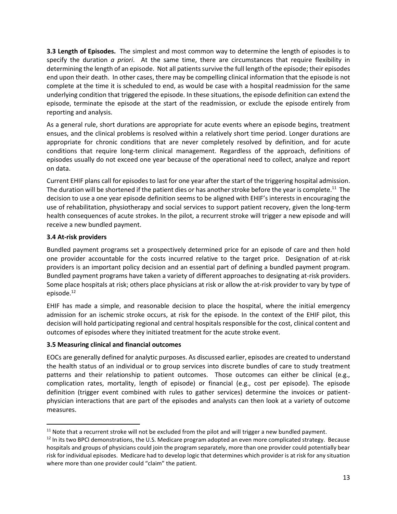**3.3 Length of Episodes.** The simplest and most common way to determine the length of episodes is to specify the duration *a priori*. At the same time, there are circumstances that require flexibility in determining the length of an episode. Not all patients survive the full length of the episode; their episodes end upon their death. In other cases, there may be compelling clinical information that the episode is not complete at the time it is scheduled to end, as would be case with a hospital readmission for the same underlying condition that triggered the episode. In these situations, the episode definition can extend the episode, terminate the episode at the start of the readmission, or exclude the episode entirely from reporting and analysis.

As a general rule, short durations are appropriate for acute events where an episode begins, treatment ensues, and the clinical problems is resolved within a relatively short time period. Longer durations are appropriate for chronic conditions that are never completely resolved by definition, and for acute conditions that require long-term clinical management. Regardless of the approach, definitions of episodes usually do not exceed one year because of the operational need to collect, analyze and report on data.

Current EHIF plans call for episodes to last for one year after the start of the triggering hospital admission. The duration will be shortened if the patient dies or has another stroke before the year is complete. $^{11}$  The decision to use a one year episode definition seems to be aligned with EHIF's interests in encouraging the use of rehabilitation, physiotherapy and social services to support patient recovery, given the long-term health consequences of acute strokes. In the pilot, a recurrent stroke will trigger a new episode and will receive a new bundled payment.

# **3.4 At-risk providers**

Bundled payment programs set a prospectively determined price for an episode of care and then hold one provider accountable for the costs incurred relative to the target price. Designation of at-risk providers is an important policy decision and an essential part of defining a bundled payment program. Bundled payment programs have taken a variety of different approaches to designating at-risk providers. Some place hospitals at risk; others place physicians at risk or allow the at-risk provider to vary by type of episode.<sup>12</sup>

EHIF has made a simple, and reasonable decision to place the hospital, where the initial emergency admission for an ischemic stroke occurs, at risk for the episode. In the context of the EHIF pilot, this decision will hold participating regional and central hospitals responsible for the cost, clinical content and outcomes of episodes where they initiated treatment for the acute stroke event.

# **3.5 Measuring clinical and financial outcomes**

EOCs are generally defined for analytic purposes. As discussed earlier, episodes are created to understand the health status of an individual or to group services into discrete bundles of care to study treatment patterns and their relationship to patient outcomes. Those outcomes can either be clinical (e.g., complication rates, mortality, length of episode) or financial (e.g., cost per episode). The episode definition (trigger event combined with rules to gather services) determine the invoices or patientphysician interactions that are part of the episodes and analysts can then look at a variety of outcome measures.

 $11$  Note that a recurrent stroke will not be excluded from the pilot and will trigger a new bundled payment.

 $12$  In its two BPCI demonstrations, the U.S. Medicare program adopted an even more complicated strategy. Because hospitals and groups of physicians could join the program separately, more than one provider could potentially bear risk for individual episodes. Medicare had to develop logic that determines which provider is at risk for any situation where more than one provider could "claim" the patient.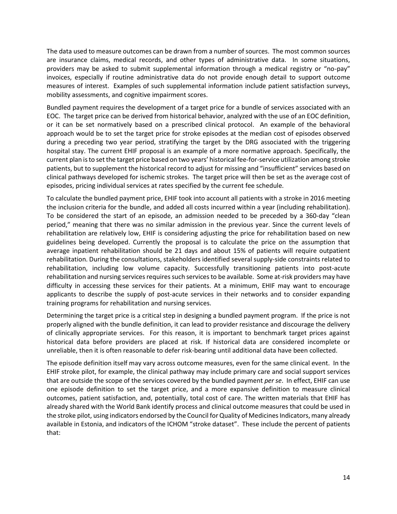The data used to measure outcomes can be drawn from a number of sources. The most common sources are insurance claims, medical records, and other types of administrative data. In some situations, providers may be asked to submit supplemental information through a medical registry or "no-pay" invoices, especially if routine administrative data do not provide enough detail to support outcome measures of interest. Examples of such supplemental information include patient satisfaction surveys, mobility assessments, and cognitive impairment scores.

Bundled payment requires the development of a target price for a bundle of services associated with an EOC. The target price can be derived from historical behavior, analyzed with the use of an EOC definition, or it can be set normatively based on a prescribed clinical protocol. An example of the behavioral approach would be to set the target price for stroke episodes at the median cost of episodes observed during a preceding two year period, stratifying the target by the DRG associated with the triggering hospital stay. The current EHIF proposal is an example of a more normative approach. Specifically, the current plan is to set the target price based on two years' historical fee-for-service utilization among stroke patients, but to supplement the historical record to adjust for missing and "insufficient" services based on clinical pathways developed for ischemic strokes. The target price will then be set as the average cost of episodes, pricing individual services at rates specified by the current fee schedule.

To calculate the bundled payment price, EHIF took into account all patients with a stroke in 2016 meeting the inclusion criteria for the bundle, and added all costs incurred within a year (including rehabilitation). To be considered the start of an episode, an admission needed to be preceded by a 360-day "clean period," meaning that there was no similar admission in the previous year. Since the current levels of rehabilitation are relatively low, EHIF is considering adjusting the price for rehabilitation based on new guidelines being developed. Currently the proposal is to calculate the price on the assumption that average inpatient rehabilitation should be 21 days and about 15% of patients will require outpatient rehabilitation. During the consultations, stakeholders identified several supply-side constraints related to rehabilitation, including low volume capacity. Successfully transitioning patients into post-acute rehabilitation and nursing services requires such services to be available. Some at-risk providers may have difficulty in accessing these services for their patients. At a minimum, EHIF may want to encourage applicants to describe the supply of post-acute services in their networks and to consider expanding training programs for rehabilitation and nursing services.

Determining the target price is a critical step in designing a bundled payment program. If the price is not properly aligned with the bundle definition, it can lead to provider resistance and discourage the delivery of clinically appropriate services. For this reason, it is important to benchmark target prices against historical data before providers are placed at risk. If historical data are considered incomplete or unreliable, then it is often reasonable to defer risk-bearing until additional data have been collected.

The episode definition itself may vary across outcome measures, even for the same clinical event. In the EHIF stroke pilot, for example, the clinical pathway may include primary care and social support services that are outside the scope of the services covered by the bundled payment *per se*. In effect, EHIF can use one episode definition to set the target price, and a more expansive definition to measure clinical outcomes, patient satisfaction, and, potentially, total cost of care. The written materials that EHIF has already shared with the World Bank identify process and clinical outcome measures that could be used in the stroke pilot, using indicators endorsed by the Council for Quality of Medicines Indicators, many already available in Estonia, and indicators of the ICHOM "stroke dataset". These include the percent of patients that: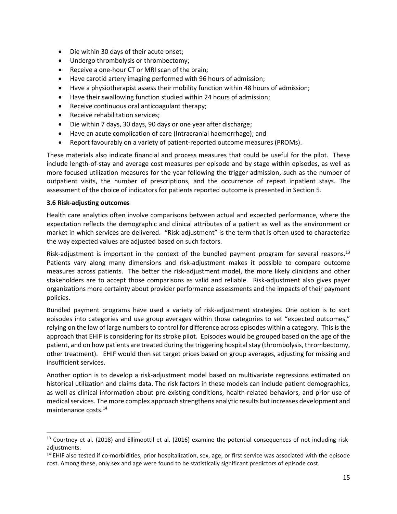- Die within 30 days of their acute onset;
- Undergo thrombolysis or thrombectomy;
- Receive a one-hour CT or MRI scan of the brain;
- Have carotid artery imaging performed with 96 hours of admission;
- Have a physiotherapist assess their mobility function within 48 hours of admission;
- Have their swallowing function studied within 24 hours of admission;
- Receive continuous oral anticoagulant therapy;
- Receive rehabilitation services;
- Die within 7 days, 30 days, 90 days or one year after discharge;
- Have an acute complication of care (Intracranial haemorrhage); and
- Report favourably on a variety of patient-reported outcome measures (PROMs).

These materials also indicate financial and process measures that could be useful for the pilot. These include length-of-stay and average cost measures per episode and by stage within episodes, as well as more focused utilization measures for the year following the trigger admission, such as the number of outpatient visits, the number of prescriptions, and the occurrence of repeat inpatient stays. The assessment of the choice of indicators for patients reported outcome is presented in Section 5.

#### **3.6 Risk-adjusting outcomes**

Health care analytics often involve comparisons between actual and expected performance, where the expectation reflects the demographic and clinical attributes of a patient as well as the environment or market in which services are delivered. "Risk-adjustment" is the term that is often used to characterize the way expected values are adjusted based on such factors.

Risk-adjustment is important in the context of the bundled payment program for several reasons.<sup>13</sup> Patients vary along many dimensions and risk-adjustment makes it possible to compare outcome measures across patients. The better the risk-adjustment model, the more likely clinicians and other stakeholders are to accept those comparisons as valid and reliable. Risk-adjustment also gives payer organizations more certainty about provider performance assessments and the impacts of their payment policies.

Bundled payment programs have used a variety of risk-adjustment strategies. One option is to sort episodes into categories and use group averages within those categories to set "expected outcomes," relying on the law of large numbers to control for difference across episodes within a category. This is the approach that EHIF is considering for its stroke pilot. Episodes would be grouped based on the age of the patient, and on how patients are treated during the triggering hospital stay (thrombolysis, thrombectomy, other treatment). EHIF would then set target prices based on group averages, adjusting for missing and insufficient services.

Another option is to develop a risk-adjustment model based on multivariate regressions estimated on historical utilization and claims data. The risk factors in these models can include patient demographics, as well as clinical information about pre-existing conditions, health-related behaviors, and prior use of medical services. The more complex approach strengthens analytic results but increases development and maintenance costs.<sup>14</sup>

<sup>&</sup>lt;sup>13</sup> Courtney et al. (2018) and Ellimoottil et al. (2016) examine the potential consequences of not including riskadiustments.

 $14$  EHIF also tested if co-morbidities, prior hospitalization, sex, age, or first service was associated with the episode cost. Among these, only sex and age were found to be statistically significant predictors of episode cost.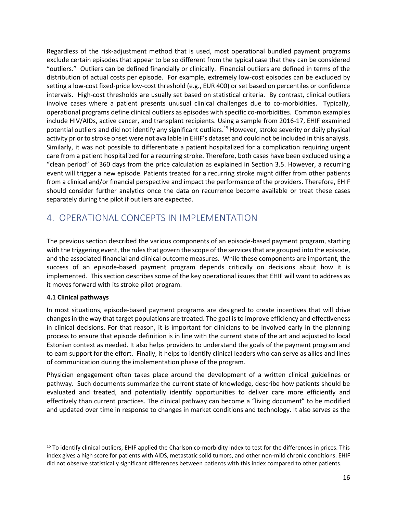Regardless of the risk-adjustment method that is used, most operational bundled payment programs exclude certain episodes that appear to be so different from the typical case that they can be considered "outliers." Outliers can be defined financially or clinically. Financial outliers are defined in terms of the distribution of actual costs per episode. For example, extremely low-cost episodes can be excluded by setting a low-cost fixed-price low-cost threshold (e.g., EUR 400) or set based on percentiles or confidence intervals. High-cost thresholds are usually set based on statistical criteria. By contrast, clinical outliers involve cases where a patient presents unusual clinical challenges due to co-morbidities. Typically, operational programs define clinical outliers as episodes with specific co-morbidities. Common examples include HIV/AIDs, active cancer, and transplant recipients. Using a sample from 2016-17, EHIF examined potential outliers and did not identify any significant outliers. <sup>15</sup> However, stroke severity or daily physical activity prior to stroke onset were not available in EHIF's dataset and could not be included in this analysis. Similarly, it was not possible to differentiate a patient hospitalized for a complication requiring urgent care from a patient hospitalized for a recurring stroke. Therefore, both cases have been excluded using a "clean period" of 360 days from the price calculation as explained in Section 3.5. However, a recurring event will trigger a new episode. Patients treated for a recurring stroke might differ from other patients from a clinical and/or financial perspective and impact the performance of the providers. Therefore, EHIF should consider further analytics once the data on recurrence become available or treat these cases separately during the pilot if outliers are expected.

# <span id="page-19-0"></span>4. OPERATIONAL CONCEPTS IN IMPLEMENTATION

The previous section described the various components of an episode-based payment program, starting with the triggering event, the rules that govern the scope of the services that are grouped into the episode, and the associated financial and clinical outcome measures. While these components are important, the success of an episode-based payment program depends critically on decisions about how it is implemented. This section describes some of the key operational issues that EHIF will want to address as it moves forward with its stroke pilot program.

# **4.1 Clinical pathways**

In most situations, episode-based payment programs are designed to create incentives that will drive changes in the way that target populations are treated. The goal is to improve efficiency and effectiveness in clinical decisions. For that reason, it is important for clinicians to be involved early in the planning process to ensure that episode definition is in line with the current state of the art and adjusted to local Estonian context as needed. It also helps providers to understand the goals of the payment program and to earn support for the effort. Finally, it helps to identify clinical leaders who can serve as allies and lines of communication during the implementation phase of the program.

Physician engagement often takes place around the development of a written clinical guidelines or pathway. Such documents summarize the current state of knowledge, describe how patients should be evaluated and treated, and potentially identify opportunities to deliver care more efficiently and effectively than current practices. The clinical pathway can become a "living document" to be modified and updated over time in response to changes in market conditions and technology. It also serves as the

<sup>&</sup>lt;sup>15</sup> To identify clinical outliers, EHIF applied the Charlson co-morbidity index to test for the differences in prices. This index gives a high score for patients with AIDS, metastatic solid tumors, and other non-mild chronic conditions. EHIF did not observe statistically significant differences between patients with this index compared to other patients.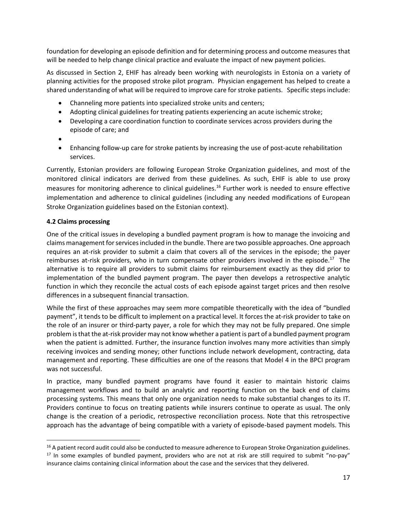foundation for developing an episode definition and for determining process and outcome measures that will be needed to help change clinical practice and evaluate the impact of new payment policies.

As discussed in Section 2, EHIF has already been working with neurologists in Estonia on a variety of planning activities for the proposed stroke pilot program. Physician engagement has helped to create a shared understanding of what will be required to improve care for stroke patients. Specific steps include:

- Channeling more patients into specialized stroke units and centers;
- Adopting clinical guidelines for treating patients experiencing an acute ischemic stroke;
- Developing a care coordination function to coordinate services across providers during the episode of care; and
- •
- Enhancing follow-up care for stroke patients by increasing the use of post-acute rehabilitation services.

Currently, Estonian providers are following European Stroke Organization guidelines, and most of the monitored clinical indicators are derived from these guidelines. As such, EHIF is able to use proxy measures for monitoring adherence to clinical guidelines.<sup>16</sup> Further work is needed to ensure effective implementation and adherence to clinical guidelines (including any needed modifications of European Stroke Organization guidelines based on the Estonian context).

### **4.2 Claims processing**

One of the critical issues in developing a bundled payment program is how to manage the invoicing and claims management for services included in the bundle. There are two possible approaches. One approach requires an at-risk provider to submit a claim that covers all of the services in the episode; the payer reimburses at-risk providers, who in turn compensate other providers involved in the episode.<sup>17</sup> The alternative is to require all providers to submit claims for reimbursement exactly as they did prior to implementation of the bundled payment program. The payer then develops a retrospective analytic function in which they reconcile the actual costs of each episode against target prices and then resolve differences in a subsequent financial transaction.

While the first of these approaches may seem more compatible theoretically with the idea of "bundled payment", it tends to be difficult to implement on a practical level. It forces the at-risk provider to take on the role of an insurer or third-party payer, a role for which they may not be fully prepared. One simple problem is that the at-risk provider may not know whether a patient is part of a bundled payment program when the patient is admitted. Further, the insurance function involves many more activities than simply receiving invoices and sending money; other functions include network development, contracting, data management and reporting. These difficulties are one of the reasons that Model 4 in the BPCI program was not successful.

In practice, many bundled payment programs have found it easier to maintain historic claims management workflows and to build an analytic and reporting function on the back end of claims processing systems. This means that only one organization needs to make substantial changes to its IT. Providers continue to focus on treating patients while insurers continue to operate as usual. The only change is the creation of a periodic, retrospective reconciliation process. Note that this retrospective approach has the advantage of being compatible with a variety of episode-based payment models. This

<sup>&</sup>lt;sup>16</sup> A patient record audit could also be conducted to measure adherence to European Stroke Organization guidelines.  $17$  In some examples of bundled payment, providers who are not at risk are still required to submit "no-pay" insurance claims containing clinical information about the case and the services that they delivered.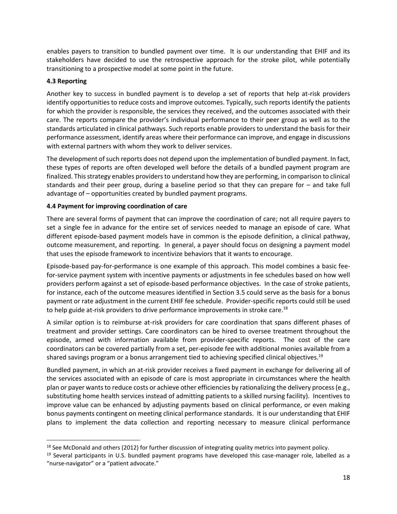enables payers to transition to bundled payment over time. It is our understanding that EHIF and its stakeholders have decided to use the retrospective approach for the stroke pilot, while potentially transitioning to a prospective model at some point in the future.

### **4.3 Reporting**

Another key to success in bundled payment is to develop a set of reports that help at-risk providers identify opportunities to reduce costs and improve outcomes. Typically, such reports identify the patients for which the provider is responsible, the services they received, and the outcomes associated with their care. The reports compare the provider's individual performance to their peer group as well as to the standards articulated in clinical pathways. Such reports enable providers to understand the basis for their performance assessment, identify areas where their performance can improve, and engage in discussions with external partners with whom they work to deliver services.

The development of such reports does not depend upon the implementation of bundled payment. In fact, these types of reports are often developed well before the details of a bundled payment program are finalized. This strategy enables providers to understand how they are performing, in comparison to clinical standards and their peer group, during a baseline period so that they can prepare for – and take full advantage of – opportunities created by bundled payment programs.

### **4.4 Payment for improving coordination of care**

There are several forms of payment that can improve the coordination of care; not all require payers to set a single fee in advance for the entire set of services needed to manage an episode of care. What different episode-based payment models have in common is the episode definition, a clinical pathway, outcome measurement, and reporting. In general, a payer should focus on designing a payment model that uses the episode framework to incentivize behaviors that it wants to encourage.

Episode-based pay-for-performance is one example of this approach. This model combines a basic feefor-service payment system with incentive payments or adjustments in fee schedules based on how well providers perform against a set of episode-based performance objectives. In the case of stroke patients, for instance, each of the outcome measures identified in Section 3.5 could serve as the basis for a bonus payment or rate adjustment in the current EHIF fee schedule. Provider-specific reports could still be used to help guide at-risk providers to drive performance improvements in stroke care.<sup>18</sup>

A similar option is to reimburse at-risk providers for care coordination that spans different phases of treatment and provider settings. Care coordinators can be hired to oversee treatment throughout the episode, armed with information available from provider-specific reports. The cost of the care coordinators can be covered partially from a set, per-episode fee with additional monies available from a shared savings program or a bonus arrangement tied to achieving specified clinical objectives.<sup>19</sup>

Bundled payment, in which an at-risk provider receives a fixed payment in exchange for delivering all of the services associated with an episode of care is most appropriate in circumstances where the health plan or payer wants to reduce costs or achieve other efficiencies by rationalizing the delivery process (e.g., substituting home health services instead of admitting patients to a skilled nursing facility). Incentives to improve value can be enhanced by adjusting payments based on clinical performance, or even making bonus payments contingent on meeting clinical performance standards. It is our understanding that EHIF plans to implement the data collection and reporting necessary to measure clinical performance

 $18$  See McDonald and others (2012) for further discussion of integrating quality metrics into payment policy.

 $19$  Several participants in U.S. bundled payment programs have developed this case-manager role, labelled as a "nurse-navigator" or a "patient advocate."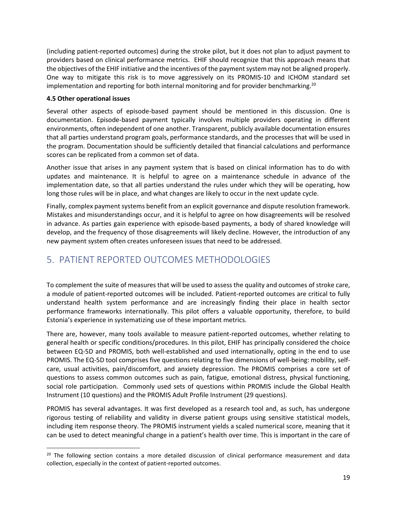(including patient-reported outcomes) during the stroke pilot, but it does not plan to adjust payment to providers based on clinical performance metrics. EHIF should recognize that this approach means that the objectives of the EHIF initiative and the incentives of the payment system may not be aligned properly. One way to mitigate this risk is to move aggressively on its PROMIS-10 and ICHOM standard set implementation and reporting for both internal monitoring and for provider benchmarking.<sup>20</sup>

### **4.5 Other operational issues**

Several other aspects of episode-based payment should be mentioned in this discussion. One is documentation. Episode-based payment typically involves multiple providers operating in different environments, often independent of one another. Transparent, publicly available documentation ensures that all parties understand program goals, performance standards, and the processes that will be used in the program. Documentation should be sufficiently detailed that financial calculations and performance scores can be replicated from a common set of data.

Another issue that arises in any payment system that is based on clinical information has to do with updates and maintenance. It is helpful to agree on a maintenance schedule in advance of the implementation date, so that all parties understand the rules under which they will be operating, how long those rules will be in place, and what changes are likely to occur in the next update cycle.

Finally, complex payment systems benefit from an explicit governance and dispute resolution framework. Mistakes and misunderstandings occur, and it is helpful to agree on how disagreements will be resolved in advance. As parties gain experience with episode-based payments, a body of shared knowledge will develop, and the frequency of those disagreements will likely decline. However, the introduction of any new payment system often creates unforeseen issues that need to be addressed.

# <span id="page-22-0"></span>5. PATIENT REPORTED OUTCOMES METHODOLOGIES

To complement the suite of measures that will be used to assess the quality and outcomes of stroke care, a module of patient-reported outcomes will be included. Patient-reported outcomes are critical to fully understand health system performance and are increasingly finding their place in health sector performance frameworks internationally. This pilot offers a valuable opportunity, therefore, to build Estonia's experience in systematizing use of these important metrics.

There are, however, many tools available to measure patient-reported outcomes, whether relating to general health or specific conditions/procedures. In this pilot, EHIF has principally considered the choice between EQ-5D and PROMIS, both well-established and used internationally, opting in the end to use PROMIS. The EQ-5D tool comprises five questions relating to five dimensions of well-being: mobility, selfcare, usual activities, pain/discomfort, and anxiety depression. The PROMIS comprises a core set of questions to assess common outcomes such as pain, fatigue, emotional distress, physical functioning, social role participation. Commonly used sets of questions within PROMIS include the Global Health Instrument (10 questions) and the PROMIS Adult Profile Instrument (29 questions).

PROMIS has several advantages. It was first developed as a research tool and, as such, has undergone rigorous testing of reliability and validity in diverse patient groups using sensitive statistical models, including item response theory. The PROMIS instrument yields a scaled numerical score, meaning that it can be used to detect meaningful change in a patient's health over time. This is important in the care of

<sup>&</sup>lt;sup>20</sup> The following section contains a more detailed discussion of clinical performance measurement and data collection, especially in the context of patient-reported outcomes.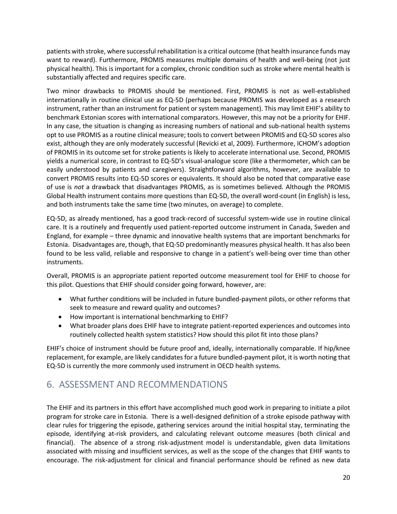patients with stroke, where successful rehabilitation is a critical outcome (that health insurance funds may want to reward). Furthermore, PROMIS measures multiple domains of health and well-being (not just physical health). This is important for a complex, chronic condition such as stroke where mental health is substantially affected and requires specific care.

Two minor drawbacks to PROMIS should be mentioned. First, PROMIS is not as well-established internationally in routine clinical use as EQ-5D (perhaps because PROMIS was developed as a research instrument, rather than an instrument for patient or system management). This may limit EHIF's ability to benchmark Estonian scores with international comparators. However, this may not be a priority for EHIF. In any case, the situation is changing as increasing numbers of national and sub-national health systems opt to use PROMIS as a routine clinical measure; tools to convert between PROMIS and EQ-5D scores also exist, although they are only moderately successful (Revicki et al, 2009). Furthermore, ICHOM's adoption of PROMIS in its outcome set for stroke patients is likely to accelerate international use. Second, PROMIS yields a numerical score, in contrast to EQ-5D's visual-analogue score (like a thermometer, which can be easily understood by patients and caregivers). Straightforward algorithms, however, are available to convert PROMIS results into EQ-5D scores or equivalents. It should also be noted that comparative ease of use is *not* a drawback that disadvantages PROMIS, as is sometimes believed. Although the PROMIS Global Health instrument contains more questions than EQ-5D, the overall word-count (in English) is less, and both instruments take the same time (two minutes, on average) to complete.

EQ-5D, as already mentioned, has a good track-record of successful system-wide use in routine clinical care. It is a routinely and frequently used patient-reported outcome instrument in Canada, Sweden and England, for example – three dynamic and innovative health systems that are important benchmarks for Estonia. Disadvantages are, though, that EQ-5D predominantly measures physical health. It has also been found to be less valid, reliable and responsive to change in a patient's well-being over time than other instruments.

Overall, PROMIS is an appropriate patient reported outcome measurement tool for EHIF to choose for this pilot. Questions that EHIF should consider going forward, however, are:

- What further conditions will be included in future bundled-payment pilots, or other reforms that seek to measure and reward quality and outcomes?
- How important is international benchmarking to EHIF?
- What broader plans does EHIF have to integrate patient-reported experiences and outcomes into routinely collected health system statistics? How should this pilot fit into those plans?

EHIF's choice of instrument should be future proof and, ideally, internationally comparable. If hip/knee replacement, for example, are likely candidates for a future bundled-payment pilot, it is worth noting that EQ-5D is currently the more commonly used instrument in OECD health systems.

# <span id="page-23-0"></span>6. ASSESSMENT AND RECOMMENDATIONS

The EHIF and its partners in this effort have accomplished much good work in preparing to initiate a pilot program for stroke care in Estonia. There is a well-designed definition of a stroke episode pathway with clear rules for triggering the episode, gathering services around the initial hospital stay, terminating the episode, identifying at-risk providers, and calculating relevant outcome measures (both clinical and financial). The absence of a strong risk-adjustment model is understandable, given data limitations associated with missing and insufficient services, as well as the scope of the changes that EHIF wants to encourage. The risk-adjustment for clinical and financial performance should be refined as new data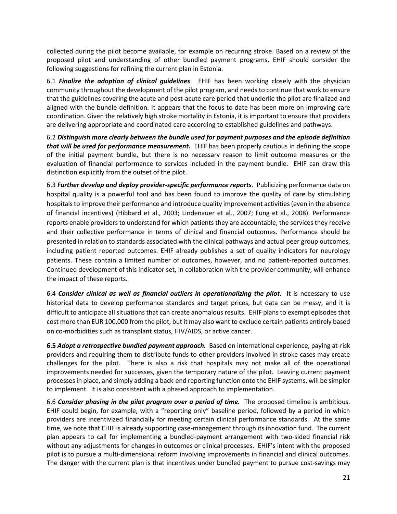collected during the pilot become available, for example on recurring stroke. Based on a review of the proposed pilot and understanding of other bundled payment programs, EHIF should consider the following suggestions for refining the current plan in Estonia.

6.1 *Finalize the adoption of clinical guidelines*. EHIF has been working closely with the physician community throughout the development of the pilot program, and needs to continue that work to ensure that the guidelines covering the acute and post-acute care period that underlie the pilot are finalized and aligned with the bundle definition. It appears that the focus to date has been more on improving care coordination. Given the relatively high stroke mortality in Estonia, it is important to ensure that providers are delivering appropriate and coordinated care according to established guidelines and pathways.

6.2 *Distinguish more clearly between the bundle used for payment purposes and the episode definition that will be used for performance measurement.* EHIF has been properly cautious in defining the scope of the initial payment bundle, but there is no necessary reason to limit outcome measures or the evaluation of financial performance to services included in the payment bundle. EHIF can draw this distinction explicitly from the outset of the pilot.

6.3 *Further develop and deploy provider-specific performance reports*. Publicizing performance data on hospital quality is a powerful tool and has been found to improve the quality of care by stimulating hospitals to improve their performance and introduce quality improvement activities (even in the absence of financial incentives) (Hibbard et al., 2003; Lindenauer et al., 2007; Fung et al., 2008). Performance reports enable providers to understand for which patients they are accountable, the services they receive and their collective performance in terms of clinical and financial outcomes. Performance should be presented in relation to standards associated with the clinical pathways and actual peer group outcomes, including patient reported outcomes. EHIF already publishes a set of quality indicators for neurology patients. These contain a limited number of outcomes, however, and no patient-reported outcomes. Continued development of this indicator set, in collaboration with the provider community, will enhance the impact of these reports.

6.4 *Consider clinical as well as financial outliers in operationalizing the pilot.* It is necessary to use historical data to develop performance standards and target prices, but data can be messy, and it is difficult to anticipate all situations that can create anomalous results. EHIF plans to exempt episodes that cost more than EUR 100,000 from the pilot, but it may also want to exclude certain patients entirely based on co-morbidities such as transplant status, HIV/AIDS, or active cancer.

**6.5** *Adopt a retrospective bundled payment approach.* Based on international experience, paying at-risk providers and requiring them to distribute funds to other providers involved in stroke cases may create challenges for the pilot. There is also a risk that hospitals may not make all of the operational improvements needed for successes, given the temporary nature of the pilot. Leaving current payment processes in place, and simply adding a back-end reporting function onto the EHIF systems, will be simpler to implement. It is also consistent with a phased approach to implementation.

6.6 *Consider phasing in the pilot program over a period of time.* The proposed timeline is ambitious. EHIF could begin, for example, with a "reporting only" baseline period, followed by a period in which providers are incentivized financially for meeting certain clinical performance standards. At the same time, we note that EHIF is already supporting case-management through its innovation fund. The current plan appears to call for implementing a bundled-payment arrangement with two-sided financial risk without any adjustments for changes in outcomes or clinical processes. EHIF's intent with the proposed pilot is to pursue a multi-dimensional reform involving improvements in financial and clinical outcomes. The danger with the current plan is that incentives under bundled payment to pursue cost-savings may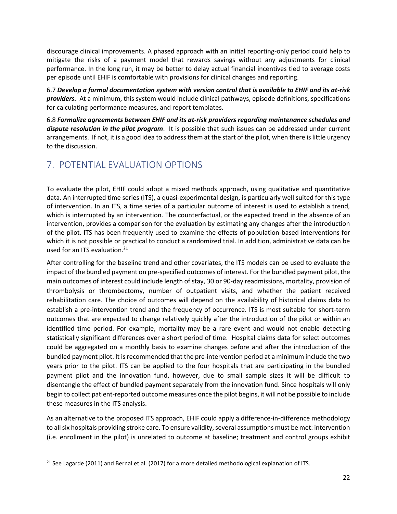discourage clinical improvements. A phased approach with an initial reporting-only period could help to mitigate the risks of a payment model that rewards savings without any adjustments for clinical performance. In the long run, it may be better to delay actual financial incentives tied to average costs per episode until EHIF is comfortable with provisions for clinical changes and reporting.

6.7 *Develop a formal documentation system with version control that is available to EHIF and its at-risk providers.* At a minimum, this system would include clinical pathways, episode definitions, specifications for calculating performance measures, and report templates.

6.8 *Formalize agreements between EHIF and its at-risk providers regarding maintenance schedules and dispute resolution in the pilot program*. It is possible that such issues can be addressed under current arrangements. If not, it is a good idea to address them at the start of the pilot, when there is little urgency to the discussion.

# <span id="page-25-0"></span>7. POTENTIAL EVALUATION OPTIONS

To evaluate the pilot, EHIF could adopt a mixed methods approach, using qualitative and quantitative data. An interrupted time series (ITS), a quasi-experimental design, is particularly well suited for this type of intervention. In an ITS, a time series of a particular outcome of interest is used to establish a trend, which is interrupted by an intervention. The counterfactual, or the expected trend in the absence of an intervention, provides a comparison for the evaluation by estimating any changes after the introduction of the pilot. ITS has been frequently used to examine the effects of population-based interventions for which it is not possible or practical to conduct a randomized trial. In addition, administrative data can be used for an ITS evaluation.<sup>21</sup>

After controlling for the baseline trend and other covariates, the ITS models can be used to evaluate the impact of the bundled payment on pre-specified outcomes of interest. For the bundled payment pilot, the main outcomes of interest could include length of stay, 30 or 90-day readmissions, mortality, provision of thrombolysis or thrombectomy, number of outpatient visits, and whether the patient received rehabilitation care. The choice of outcomes will depend on the availability of historical claims data to establish a pre-intervention trend and the frequency of occurrence. ITS is most suitable for short-term outcomes that are expected to change relatively quickly after the introduction of the pilot or within an identified time period. For example, mortality may be a rare event and would not enable detecting statistically significant differences over a short period of time. Hospital claims data for select outcomes could be aggregated on a monthly basis to examine changes before and after the introduction of the bundled payment pilot. It is recommended that the pre-intervention period at a minimum include the two years prior to the pilot. ITS can be applied to the four hospitals that are participating in the bundled payment pilot and the innovation fund, however, due to small sample sizes it will be difficult to disentangle the effect of bundled payment separately from the innovation fund. Since hospitals will only begin to collect patient-reported outcome measures once the pilot begins, it will not be possible to include these measures in the ITS analysis.

As an alternative to the proposed ITS approach, EHIF could apply a difference-in-difference methodology to all six hospitals providing stroke care. To ensure validity, several assumptions must be met: intervention (i.e. enrollment in the pilot) is unrelated to outcome at baseline; treatment and control groups exhibit

<sup>&</sup>lt;sup>21</sup> See Lagarde (2011) and Bernal et al. (2017) for a more detailed methodological explanation of ITS.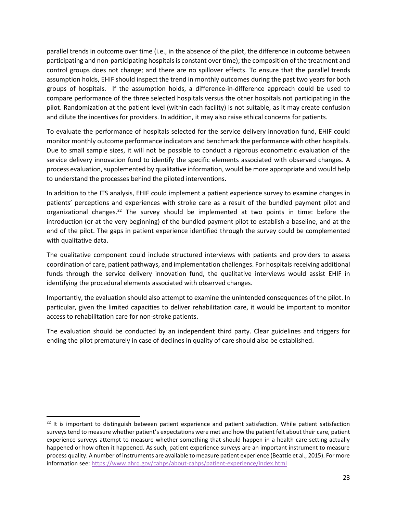parallel trends in outcome over time (i.e., in the absence of the pilot, the difference in outcome between participating and non-participating hospitals is constant over time); the composition of the treatment and control groups does not change; and there are no spillover effects. To ensure that the parallel trends assumption holds, EHIF should inspect the trend in monthly outcomes during the past two years for both groups of hospitals. If the assumption holds, a difference-in-difference approach could be used to compare performance of the three selected hospitals versus the other hospitals not participating in the pilot. Randomization at the patient level (within each facility) is not suitable, as it may create confusion and dilute the incentives for providers. In addition, it may also raise ethical concerns for patients.

To evaluate the performance of hospitals selected for the service delivery innovation fund, EHIF could monitor monthly outcome performance indicators and benchmark the performance with other hospitals. Due to small sample sizes, it will not be possible to conduct a rigorous econometric evaluation of the service delivery innovation fund to identify the specific elements associated with observed changes. A process evaluation, supplemented by qualitative information, would be more appropriate and would help to understand the processes behind the piloted interventions.

In addition to the ITS analysis, EHIF could implement a patient experience survey to examine changes in patients' perceptions and experiences with stroke care as a result of the bundled payment pilot and organizational changes.<sup>22</sup> The survey should be implemented at two points in time: before the introduction (or at the very beginning) of the bundled payment pilot to establish a baseline, and at the end of the pilot. The gaps in patient experience identified through the survey could be complemented with qualitative data.

The qualitative component could include structured interviews with patients and providers to assess coordination of care, patient pathways, and implementation challenges. For hospitals receiving additional funds through the service delivery innovation fund, the qualitative interviews would assist EHIF in identifying the procedural elements associated with observed changes.

Importantly, the evaluation should also attempt to examine the unintended consequences of the pilot. In particular, given the limited capacities to deliver rehabilitation care, it would be important to monitor access to rehabilitation care for non-stroke patients.

The evaluation should be conducted by an independent third party. Clear guidelines and triggers for ending the pilot prematurely in case of declines in quality of care should also be established.

 $22$  It is important to distinguish between patient experience and patient satisfaction. While patient satisfaction surveys tend to measure whether patient's expectations were met and how the patient felt about their care, patient experience surveys attempt to measure whether something that should happen in a health care setting actually happened or how often it happened. As such, patient experience surveys are an important instrument to measure process quality. A number of instruments are available to measure patient experience (Beattie et al., 2015). For more information see:<https://www.ahrq.gov/cahps/about-cahps/patient-experience/index.html>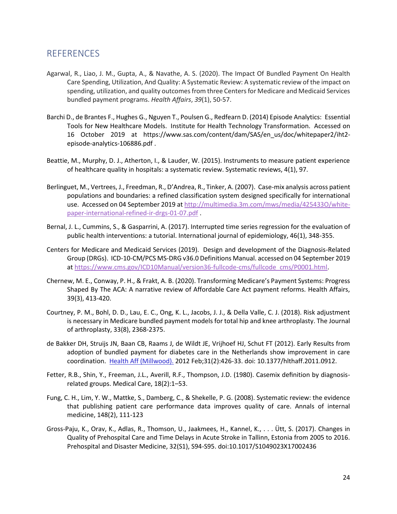# <span id="page-27-0"></span>REFERENCES

- Agarwal, R., Liao, J. M., Gupta, A., & Navathe, A. S. (2020). The Impact Of Bundled Payment On Health Care Spending, Utilization, And Quality: A Systematic Review: A systematic review of the impact on spending, utilization, and quality outcomes from three Centers for Medicare and Medicaid Services bundled payment programs. *Health Affairs*, *39*(1), 50-57.
- Barchi D., de Brantes F., Hughes G., Nguyen T., Poulsen G., Redfearn D. (2014) Episode Analytics: Essential Tools for New Healthcare Models. Institute for Health Technology Transformation. Accessed on 16 October 2019 at https://www.sas.com/content/dam/SAS/en\_us/doc/whitepaper2/iht2 episode-analytics-106886.pdf .
- Beattie, M., Murphy, D. J., Atherton, I., & Lauder, W. (2015). Instruments to measure patient experience of healthcare quality in hospitals: a systematic review. Systematic reviews, 4(1), 97.
- Berlinguet, M., Vertrees, J., Freedman, R., D'Andrea, R., Tinker, A. (2007). Case-mix analysis across patient populations and boundaries: a refined classification system designed specifically for international use. Accessed on 04 September 2019 a[t http://multimedia.3m.com/mws/media/425433O/white](http://multimedia.3m.com/mws/media/425433O/white-paper-international-refined-ir-drgs-01-07.pdf)[paper-international-refined-ir-drgs-01-07.pdf](http://multimedia.3m.com/mws/media/425433O/white-paper-international-refined-ir-drgs-01-07.pdf) .
- Bernal, J. L., Cummins, S., & Gasparrini, A. (2017). Interrupted time series regression for the evaluation of public health interventions: a tutorial. International journal of epidemiology, 46(1), 348-355.
- Centers for Medicare and Medicaid Services (2019). Design and development of the Diagnosis-Related Group (DRGs). ICD-10-CM/PCS MS-DRG v36.0 Definitions Manual. accessed on 04 September 2019 at [https://www.cms.gov/ICD10Manual/version36-fullcode-cms/fullcode\\_cms/P0001.html.](https://www.cms.gov/ICD10Manual/version36-fullcode-cms/fullcode_cms/P0001.html)
- Chernew, M. E., Conway, P. H., & Frakt, A. B. (2020). Transforming Medicare's Payment Systems: Progress Shaped By The ACA: A narrative review of Affordable Care Act payment reforms. Health Affairs, 39(3), 413-420.
- Courtney, P. M., Bohl, D. D., Lau, E. C., Ong, K. L., Jacobs, J. J., & Della Valle, C. J. (2018). Risk adjustment is necessary in Medicare bundled payment models for total hip and knee arthroplasty. The Journal of arthroplasty, 33(8), 2368-2375.
- de Bakker DH, Struijs JN, Baan CB, Raams J, de Wildt JE, Vrijhoef HJ, Schut FT (2012). Early Results from adoption of bundled payment for diabetes care in the Netherlands show improvement in care coordination. Health [Aff \(Millwood\).](https://www.ncbi.nlm.nih.gov/pubmed/22323174) 2012 Feb;31(2):426-33. doi: 10.1377/hlthaff.2011.0912.
- Fetter, R.B., Shin, Y., Freeman, J.L., Averill, R.F., Thompson, J.D. (1980). Casemix definition by diagnosisrelated groups. Medical Care, 18(2):1–53.
- Fung, C. H., Lim, Y. W., Mattke, S., Damberg, C., & Shekelle, P. G. (2008). Systematic review: the evidence that publishing patient care performance data improves quality of care. Annals of internal medicine, 148(2), 111-123
- Gross-Paju, K., Orav, K., Adlas, R., Thomson, U., Jaakmees, H., Kannel, K., . . . Ütt, S. (2017). Changes in Quality of Prehospital Care and Time Delays in Acute Stroke in Tallinn, Estonia from 2005 to 2016. Prehospital and Disaster Medicine, 32(S1), S94-S95. doi:10.1017/S1049023X17002436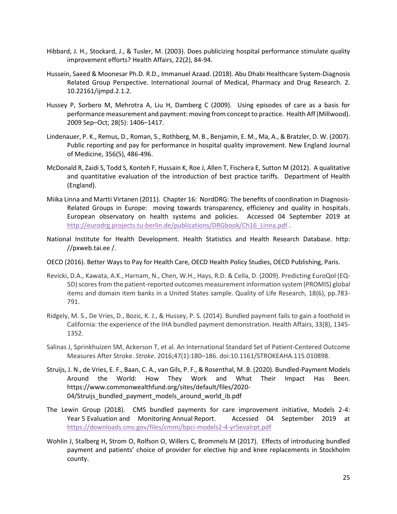- Hibbard, J. H., Stockard, J., & Tusler, M. (2003). Does publicizing hospital performance stimulate quality improvement efforts? Health Affairs, 22(2), 84-94.
- Hussein, Saeed & Moonesar Ph.D. R.D., Immanuel Azaad. (2018). Abu Dhabi Healthcare System-Diagnosis Related Group Perspective. International Journal of Medical, Pharmacy and Drug Research. 2. 10.22161/ijmpd.2.1.2.
- Hussey P, Sorbero M, Mehrotra A, Liu H, Damberg C (2009). Using episodes of care as a basis for performance measurement and payment: moving from concept to practice. Health Aff (Millwood). 2009 Sep–Oct; 28(5): 1406–1417.
- Lindenauer, P. K., Remus, D., Roman, S., Rothberg, M. B., Benjamin, E. M., Ma, A., & Bratzler, D. W. (2007). Public reporting and pay for performance in hospital quality improvement. New England Journal of Medicine, 356(5), 486-496.
- McDonald R, Zaidi S, Todd S, Konteh F, Hussain K, Roe J, Allen T, Fischera E, Sutton M (2012). A qualitative and quantitative evaluation of the introduction of best practice tariffs. Department of Health (England).
- Miika Linna and Martti Virtanen (2011). Chapter 16: NordDRG: The benefits of coordination in Diagnosis-Related Groups in Europe: moving towards transparency, efficiency and quality in hospitals. European observatory on health systems and policies. Accessed 04 September 2019 at http://eurodrg.projects.tu-berlin.de/publications/DRGbook/Ch16 Linna.pdf .
- National Institute for Health Development. Health Statistics and Health Research Database. http: //pxweb.tai.ee /.
- OECD (2016). Better Ways to Pay for Health Care, OECD Health Policy Studies, OECD Publishing, Paris.
- Revicki, D.A., Kawata, A.K., Harnam, N., Chen, W.H., Hays, R.D. & Cella, D. (2009). Predicting EuroQol (EQ-5D) scores from the patient-reported outcomes measurement information system (PROMIS) global items and domain item banks in a United States sample. Quality of Life Research, 18(6), pp.783- 791.
- Ridgely, M. S., De Vries, D., Bozic, K. J., & Hussey, P. S. (2014). Bundled payment fails to gain a foothold in California: the experience of the IHA bundled payment demonstration. Health Affairs, 33(8), 1345- 1352.
- Salinas J, Sprinkhuizen SM, Ackerson T, et al. An International Standard Set of Patient-Centered Outcome Measures After Stroke. *Stroke*. 2016;47(1):180–186. doi:10.1161/STROKEAHA.115.010898.
- Struijs, J. N., de Vries, E. F., Baan, C. A., van Gils, P. F., & Rosenthal, M. B. (2020). Bundled-Payment Models Around the World: How They Work and What Their Impact Has Been. https://www.commonwealthfund.org/sites/default/files/2020- 04/Struijs\_bundled\_payment\_models\_around\_world\_ib.pdf
- The Lewin Group (2018). CMS bundled payments for care improvement initiative, Models 2-4: Year 5 Evaluation and Monitoring Annual Report. Accessed 04 September 2019 at <https://downloads.cms.gov/files/cmmi/bpci-models2-4-yr5evalrpt.pdf>
- Wohlin J, Stalberg H, Strom O, Rolfson O, Willers C, Brommels M (2017). Effects of introducing bundled payment and patients' choice of provider for elective hip and knee replacements in Stockholm county.